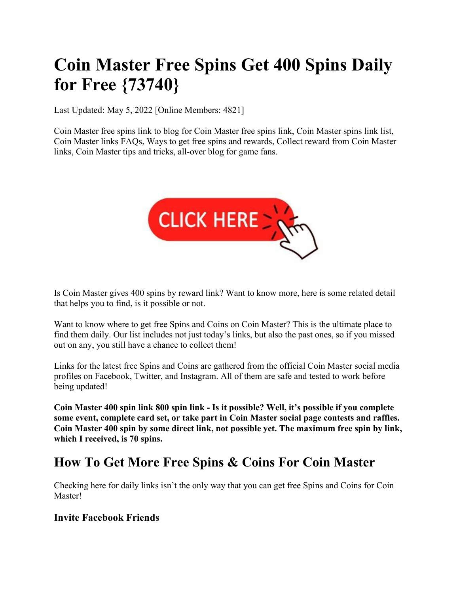# **Coin Master Free Spins Get 400 Spins Daily for Free {73740}**

Last Updated: May 5, 2022 [Online Members: 4821]

Coin Master free spins link to blog for Coin Master free spins link, Coin Master spins link list, Coin Master links FAQs, Ways to get free spins and rewards, Collect reward from Coin Master links, Coin Master tips and tricks, all-over blog for game fans.



Is Coin Master gives 400 spins by reward link? Want to know more, here is some related detail that helps you to find, is it possible or not.

Want to know where to get free Spins and Coins on Coin Master? This is the ultimate place to find them daily. Our list includes not just today's links, but also the past ones, so if you missed out on any, you still have a chance to collect them!

Links for the latest free Spins and Coins are gathered from the official Coin Master social media profiles on Facebook, Twitter, and Instagram. All of them are safe and tested to work before being updated!

**Coin Master 400 spin link 800 spin link - Is it possible? Well, it's possible if you complete some event, complete card set, or take part in Coin Master social page contests and raffles. Coin Master 400 spin by some direct link, not possible yet. The maximum free spin by link, which I received, is 70 spins.**

# **How To Get More Free Spins & Coins For Coin Master**

Checking here for daily links isn't the only way that you can get free Spins and Coins for Coin Master!

### **Invite Facebook Friends**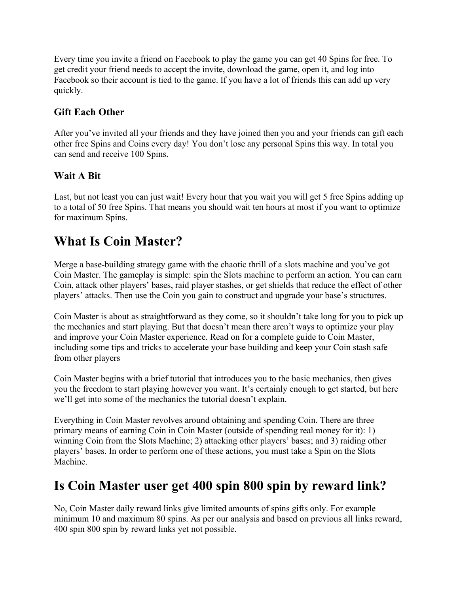Every time you invite a friend on Facebook to play the game you can get 40 Spins for free. To get credit your friend needs to accept the invite, download the game, open it, and log into Facebook so their account is tied to the game. If you have a lot of friends this can add up very quickly.

### **Gift Each Other**

After you've invited all your friends and they have joined then you and your friends can gift each other free Spins and Coins every day! You don't lose any personal Spins this way. In total you can send and receive 100 Spins.

### **Wait A Bit**

Last, but not least you can just wait! Every hour that you wait you will get 5 free Spins adding up to a total of 50 free Spins. That means you should wait ten hours at most if you want to optimize for maximum Spins.

# **What Is Coin Master?**

Merge a base-building strategy game with the chaotic thrill of a slots machine and you've got Coin Master. The gameplay is simple: spin the Slots machine to perform an action. You can earn Coin, attack other players' bases, raid player stashes, or get shields that reduce the effect of other players' attacks. Then use the Coin you gain to construct and upgrade your base's structures.

Coin Master is about as straightforward as they come, so it shouldn't take long for you to pick up the mechanics and start playing. But that doesn't mean there aren't ways to optimize your play and improve your Coin Master experience. Read on for a complete guide to Coin Master, including some tips and tricks to accelerate your base building and keep your Coin stash safe from other players

Coin Master begins with a brief tutorial that introduces you to the basic mechanics, then gives you the freedom to start playing however you want. It's certainly enough to get started, but here we'll get into some of the mechanics the tutorial doesn't explain.

Everything in Coin Master revolves around obtaining and spending Coin. There are three primary means of earning Coin in Coin Master (outside of spending real money for it): 1) winning Coin from the Slots Machine; 2) attacking other players' bases; and 3) raiding other players' bases. In order to perform one of these actions, you must take a Spin on the Slots Machine.

# **Is Coin Master user get 400 spin 800 spin by reward link?**

No, Coin Master daily reward links give limited amounts of spins gifts only. For example minimum 10 and maximum 80 spins. As per our analysis and based on previous all links reward, 400 spin 800 spin by reward links yet not possible.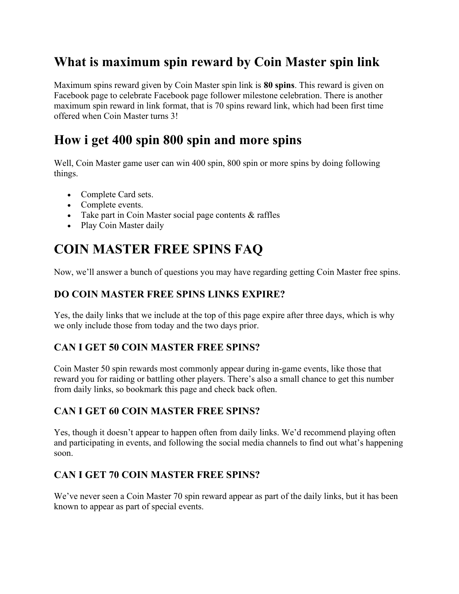# **What is maximum spin reward by Coin Master spin link**

Maximum spins reward given by Coin Master spin link is **80 spins**. This reward is given on Facebook page to celebrate Facebook page follower milestone celebration. There is another maximum spin reward in link format, that is 70 spins reward link, which had been first time offered when Coin Master turns 3!

# **How i get 400 spin 800 spin and more spins**

Well, Coin Master game user can win 400 spin, 800 spin or more spins by doing following things.

- Complete Card sets.
- Complete events.
- Take part in Coin Master social page contents & raffles
- Play Coin Master daily

# **COIN MASTER FREE SPINS FAQ**

Now, we'll answer a bunch of questions you may have regarding getting Coin Master free spins.

### **DO COIN MASTER FREE SPINS LINKS EXPIRE?**

Yes, the daily links that we include at the top of this page expire after three days, which is why we only include those from today and the two days prior.

### **CAN I GET 50 COIN MASTER FREE SPINS?**

Coin Master 50 spin rewards most commonly appear during in-game events, like those that reward you for raiding or battling other players. There's also a small chance to get this number from daily links, so bookmark this page and check back often.

### **CAN I GET 60 COIN MASTER FREE SPINS?**

Yes, though it doesn't appear to happen often from daily links. We'd recommend playing often and participating in events, and following the social media channels to find out what's happening soon.

### **CAN I GET 70 COIN MASTER FREE SPINS?**

We've never seen a Coin Master 70 spin reward appear as part of the daily links, but it has been known to appear as part of special events.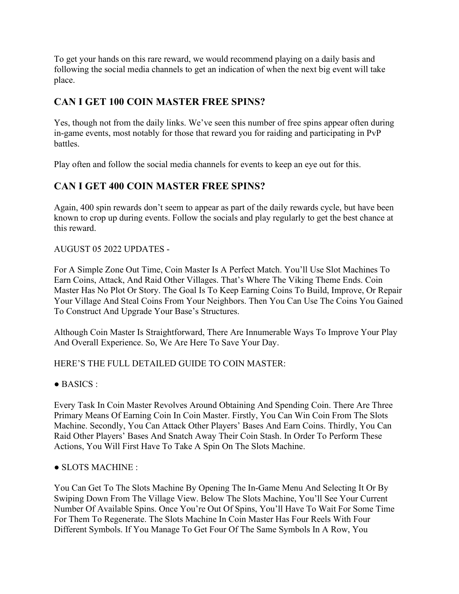To get your hands on this rare reward, we would recommend playing on a daily basis and following the social media channels to get an indication of when the next big event will take place.

### **CAN I GET 100 COIN MASTER FREE SPINS?**

Yes, though not from the daily links. We've seen this number of free spins appear often during in-game events, most notably for those that reward you for raiding and participating in PvP battles.

Play often and follow the social media channels for events to keep an eye out for this.

### **CAN I GET 400 COIN MASTER FREE SPINS?**

Again, 400 spin rewards don't seem to appear as part of the daily rewards cycle, but have been known to crop up during events. Follow the socials and play regularly to get the best chance at this reward.

#### AUGUST 05 2022 UPDATES -

For A Simple Zone Out Time, Coin Master Is A Perfect Match. You'll Use Slot Machines To Earn Coins, Attack, And Raid Other Villages. That's Where The Viking Theme Ends. Coin Master Has No Plot Or Story. The Goal Is To Keep Earning Coins To Build, Improve, Or Repair Your Village And Steal Coins From Your Neighbors. Then You Can Use The Coins You Gained To Construct And Upgrade Your Base's Structures.

Although Coin Master Is Straightforward, There Are Innumerable Ways To Improve Your Play And Overall Experience. So, We Are Here To Save Your Day.

#### HERE'S THE FULL DETAILED GUIDE TO COIN MASTER:

 $\bullet$  BASICS :

Every Task In Coin Master Revolves Around Obtaining And Spending Coin. There Are Three Primary Means Of Earning Coin In Coin Master. Firstly, You Can Win Coin From The Slots Machine. Secondly, You Can Attack Other Players' Bases And Earn Coins. Thirdly, You Can Raid Other Players' Bases And Snatch Away Their Coin Stash. In Order To Perform These Actions, You Will First Have To Take A Spin On The Slots Machine.

#### ● SLOTS MACHINE :

You Can Get To The Slots Machine By Opening The In-Game Menu And Selecting It Or By Swiping Down From The Village View. Below The Slots Machine, You'll See Your Current Number Of Available Spins. Once You're Out Of Spins, You'll Have To Wait For Some Time For Them To Regenerate. The Slots Machine In Coin Master Has Four Reels With Four Different Symbols. If You Manage To Get Four Of The Same Symbols In A Row, You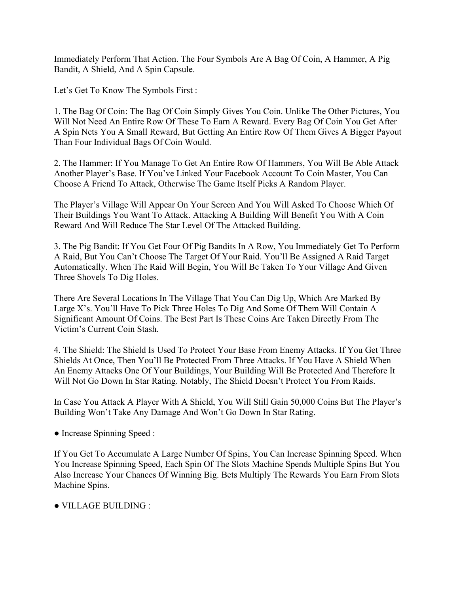Immediately Perform That Action. The Four Symbols Are A Bag Of Coin, A Hammer, A Pig Bandit, A Shield, And A Spin Capsule.

Let's Get To Know The Symbols First :

1. The Bag Of Coin: The Bag Of Coin Simply Gives You Coin. Unlike The Other Pictures, You Will Not Need An Entire Row Of These To Earn A Reward. Every Bag Of Coin You Get After A Spin Nets You A Small Reward, But Getting An Entire Row Of Them Gives A Bigger Payout Than Four Individual Bags Of Coin Would.

2. The Hammer: If You Manage To Get An Entire Row Of Hammers, You Will Be Able Attack Another Player's Base. If You've Linked Your Facebook Account To Coin Master, You Can Choose A Friend To Attack, Otherwise The Game Itself Picks A Random Player.

The Player's Village Will Appear On Your Screen And You Will Asked To Choose Which Of Their Buildings You Want To Attack. Attacking A Building Will Benefit You With A Coin Reward And Will Reduce The Star Level Of The Attacked Building.

3. The Pig Bandit: If You Get Four Of Pig Bandits In A Row, You Immediately Get To Perform A Raid, But You Can't Choose The Target Of Your Raid. You'll Be Assigned A Raid Target Automatically. When The Raid Will Begin, You Will Be Taken To Your Village And Given Three Shovels To Dig Holes.

There Are Several Locations In The Village That You Can Dig Up, Which Are Marked By Large X's. You'll Have To Pick Three Holes To Dig And Some Of Them Will Contain A Significant Amount Of Coins. The Best Part Is These Coins Are Taken Directly From The Victim's Current Coin Stash.

4. The Shield: The Shield Is Used To Protect Your Base From Enemy Attacks. If You Get Three Shields At Once, Then You'll Be Protected From Three Attacks. If You Have A Shield When An Enemy Attacks One Of Your Buildings, Your Building Will Be Protected And Therefore It Will Not Go Down In Star Rating. Notably, The Shield Doesn't Protect You From Raids.

In Case You Attack A Player With A Shield, You Will Still Gain 50,000 Coins But The Player's Building Won't Take Any Damage And Won't Go Down In Star Rating.

• Increase Spinning Speed :

If You Get To Accumulate A Large Number Of Spins, You Can Increase Spinning Speed. When You Increase Spinning Speed, Each Spin Of The Slots Machine Spends Multiple Spins But You Also Increase Your Chances Of Winning Big. Bets Multiply The Rewards You Earn From Slots Machine Spins.

● VILLAGE BUILDING :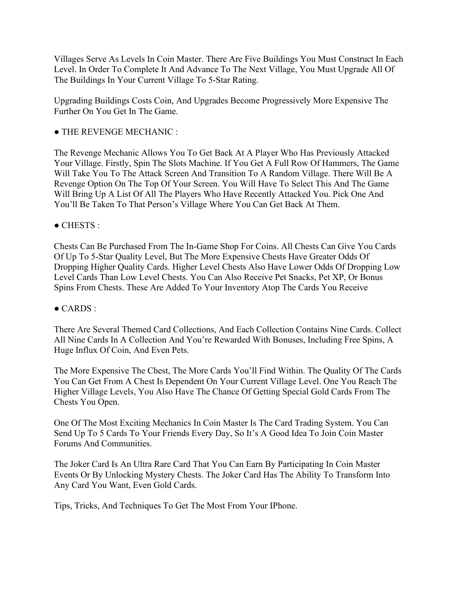Villages Serve As Levels In Coin Master. There Are Five Buildings You Must Construct In Each Level. In Order To Complete It And Advance To The Next Village, You Must Upgrade All Of The Buildings In Your Current Village To 5-Star Rating.

Upgrading Buildings Costs Coin, And Upgrades Become Progressively More Expensive The Further On You Get In The Game.

#### ● THE REVENGE MECHANIC :

The Revenge Mechanic Allows You To Get Back At A Player Who Has Previously Attacked Your Village. Firstly, Spin The Slots Machine. If You Get A Full Row Of Hammers, The Game Will Take You To The Attack Screen And Transition To A Random Village. There Will Be A Revenge Option On The Top Of Your Screen. You Will Have To Select This And The Game Will Bring Up A List Of All The Players Who Have Recently Attacked You. Pick One And You'll Be Taken To That Person's Village Where You Can Get Back At Them.

#### $\bullet$  CHESTS :

Chests Can Be Purchased From The In-Game Shop For Coins. All Chests Can Give You Cards Of Up To 5-Star Quality Level, But The More Expensive Chests Have Greater Odds Of Dropping Higher Quality Cards. Higher Level Chests Also Have Lower Odds Of Dropping Low Level Cards Than Low Level Chests. You Can Also Receive Pet Snacks, Pet XP, Or Bonus Spins From Chests. These Are Added To Your Inventory Atop The Cards You Receive

#### $\bullet$  CARDS :

There Are Several Themed Card Collections, And Each Collection Contains Nine Cards. Collect All Nine Cards In A Collection And You're Rewarded With Bonuses, Including Free Spins, A Huge Influx Of Coin, And Even Pets.

The More Expensive The Chest, The More Cards You'll Find Within. The Quality Of The Cards You Can Get From A Chest Is Dependent On Your Current Village Level. One You Reach The Higher Village Levels, You Also Have The Chance Of Getting Special Gold Cards From The Chests You Open.

One Of The Most Exciting Mechanics In Coin Master Is The Card Trading System. You Can Send Up To 5 Cards To Your Friends Every Day, So It's A Good Idea To Join Coin Master Forums And Communities.

The Joker Card Is An Ultra Rare Card That You Can Earn By Participating In Coin Master Events Or By Unlocking Mystery Chests. The Joker Card Has The Ability To Transform Into Any Card You Want, Even Gold Cards.

Tips, Tricks, And Techniques To Get The Most From Your IPhone.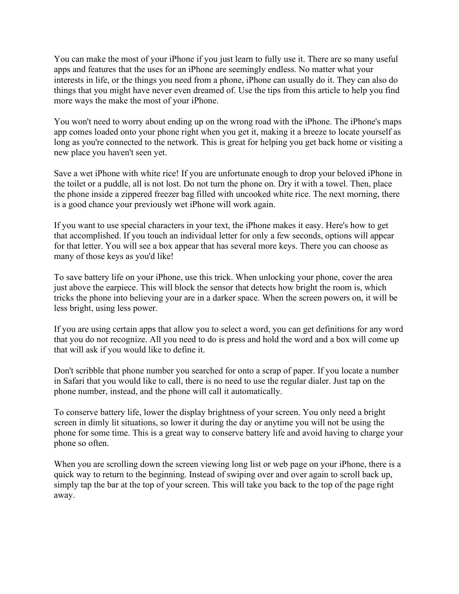You can make the most of your iPhone if you just learn to fully use it. There are so many useful apps and features that the uses for an iPhone are seemingly endless. No matter what your interests in life, or the things you need from a phone, iPhone can usually do it. They can also do things that you might have never even dreamed of. Use the tips from this article to help you find more ways the make the most of your iPhone.

You won't need to worry about ending up on the wrong road with the iPhone. The iPhone's maps app comes loaded onto your phone right when you get it, making it a breeze to locate yourself as long as you're connected to the network. This is great for helping you get back home or visiting a new place you haven't seen yet.

Save a wet iPhone with white rice! If you are unfortunate enough to drop your beloved iPhone in the toilet or a puddle, all is not lost. Do not turn the phone on. Dry it with a towel. Then, place the phone inside a zippered freezer bag filled with uncooked white rice. The next morning, there is a good chance your previously wet iPhone will work again.

If you want to use special characters in your text, the iPhone makes it easy. Here's how to get that accomplished. If you touch an individual letter for only a few seconds, options will appear for that letter. You will see a box appear that has several more keys. There you can choose as many of those keys as you'd like!

To save battery life on your iPhone, use this trick. When unlocking your phone, cover the area just above the earpiece. This will block the sensor that detects how bright the room is, which tricks the phone into believing your are in a darker space. When the screen powers on, it will be less bright, using less power.

If you are using certain apps that allow you to select a word, you can get definitions for any word that you do not recognize. All you need to do is press and hold the word and a box will come up that will ask if you would like to define it.

Don't scribble that phone number you searched for onto a scrap of paper. If you locate a number in Safari that you would like to call, there is no need to use the regular dialer. Just tap on the phone number, instead, and the phone will call it automatically.

To conserve battery life, lower the display brightness of your screen. You only need a bright screen in dimly lit situations, so lower it during the day or anytime you will not be using the phone for some time. This is a great way to conserve battery life and avoid having to charge your phone so often.

When you are scrolling down the screen viewing long list or web page on your iPhone, there is a quick way to return to the beginning. Instead of swiping over and over again to scroll back up, simply tap the bar at the top of your screen. This will take you back to the top of the page right away.